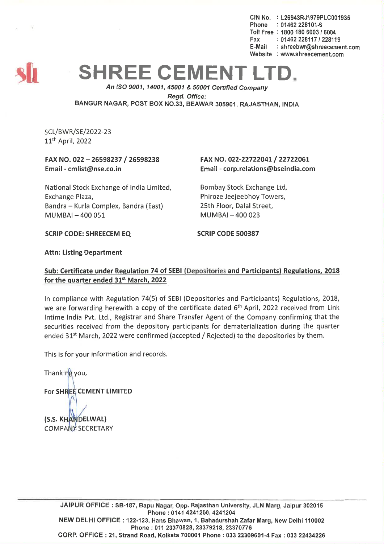CIN No. : L26943RJ1979PLC001935  $Phone : 01462228101-6$ Toll Free : 1800 180 6003 *I 6004* Fax: 01462 228117 / 228119 E-Mail : shreebwr@shreecernent.com Website : www.shreecement.com



## **SHREE CEMENT L**

*An ISO 9001, 14001,45001* & *50001 Cenified Company Regd. Office:* BANGUR NAGAR, POST BOX NO.33, BEAWAR 305901, RAJASTHAN, INDIA

SCL/BWR/SE/2022-23 11th April, 2022

## FAX NO. 022 - 26598237 / 26598238 Email -cmlist@nse.co.in

FAX NO. 022-22722041/ 22722061 Email -corp.relations@bseindia.com

National Stock Exchange of India Limited, Exchange Plaza, Bandra - Kurla Complex, Bandra (East)  $MUMBAI - 400051$ 

Bombay Stock Exchange Ltd. Phiroze Jeejeebhoy Towers, 25th Floor, Dalal Street,  $MUMBAI - 400023$ 

SCRIP CODE: SHREECEM EQ SCRIP CODE 500387

## Attn: Listing Department

## Sub: Certificate under Regulation 74 of SEBI (Depositories and Participants) Regulations, 2018 for the quarter ended 31st March, 2022

In compliance with Regulation 74(5) of SEBI (Depositories and Participants) Regulations, 2018, we are forwarding herewith a copy of the certificate dated 6<sup>th</sup> April, 2022 received from Link Intime India Pvt. Ltd., Registrar and Share Transfer Agent of the Company confirming that the securities received from the depository participants for dematerialization during the quarter ended 31<sup>st</sup> March, 2022 were confirmed (accepted / Rejected) to the depositories by them.

This is for your information and records.

Thanking you, For SHREE CEMENT LIMITED (S.S. KHANDELWAL)

COMPANY SECRETARY